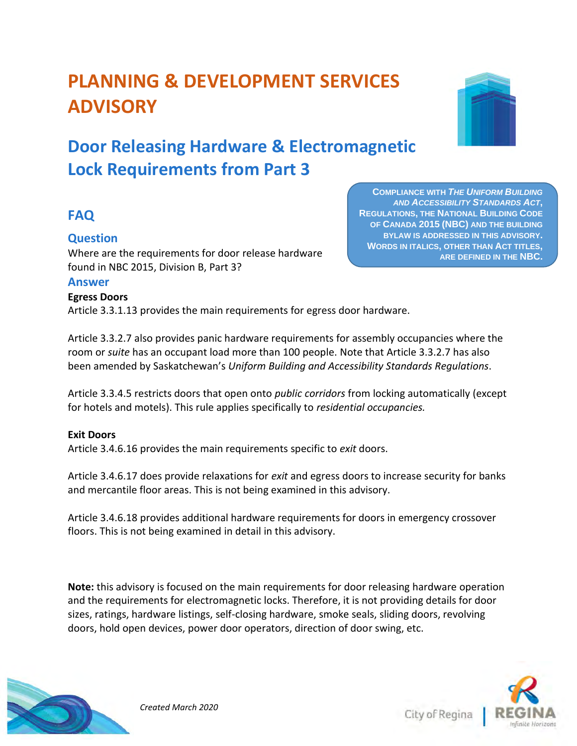# **PLANNING & DEVELOPMENT SERVICES ADVISORY**

## **Door Releasing Hardware & Electromagnetic Lock Requirements from Part 3**

## **FAQ**

#### **Question**

Where are the requirements for door release hardware found in NBC 2015, Division B, Part 3?

#### **Answer**

#### **Egress Doors**

Article 3.3.1.13 provides the main requirements for egress door hardware.

Article 3.3.2.7 also provides panic hardware requirements for assembly occupancies where the room or *suite* has an occupant load more than 100 people. Note that Article 3.3.2.7 has also been amended by Saskatchewan's *Uniform Building and Accessibility Standards Regulations*.

Article 3.3.4.5 restricts doors that open onto *public corridors* from locking automatically (except for hotels and motels). This rule applies specifically to *residential occupancies.*

#### **Exit Doors**

Article 3.4.6.16 provides the main requirements specific to *exit* doors.

Article 3.4.6.17 does provide relaxations for *exit* and egress doors to increase security for banks and mercantile floor areas. This is not being examined in this advisory.

Article 3.4.6.18 provides additional hardware requirements for doors in emergency crossover floors. This is not being examined in detail in this advisory.

**Note:** this advisory is focused on the main requirements for door releasing hardware operation and the requirements for electromagnetic locks. Therefore, it is not providing details for door sizes, ratings, hardware listings, self-closing hardware, smoke seals, sliding doors, revolving doors, hold open devices, power door operators, direction of door swing, etc.



**COMPLIANCE WITH** *THE UNIFORM BUILDING AND ACCESSIBILITY STANDARDS ACT***, REGULATIONS, THE NATIONAL BUILDING CODE OF CANADA 2015 (NBC) AND THE BUILDING BYLAW IS ADDRESSED IN THIS ADVISORY. WORDS IN ITALICS, OTHER THAN ACT TITLES, ARE DEFINED IN THE NBC.** 

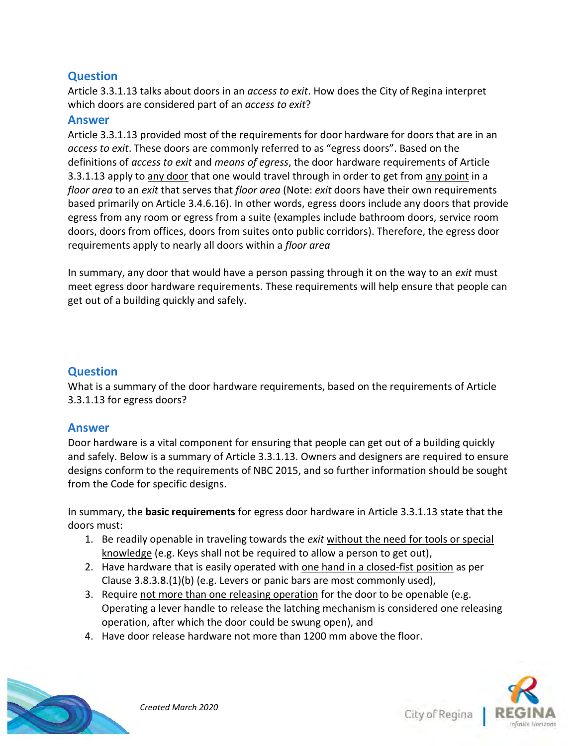Article 3.3.1.13 talks about doors in an *access to exit*. How does the City of Regina interpret which doors are considered part of an *access to exit*?

#### **Answer**

Article 3.3.1.13 provided most of the requirements for door hardware for doors that are in an *access to exit*. These doors are commonly referred to as "egress doors". Based on the definitions of *access to exit* and *means of egress*, the door hardware requirements of Article 3.3.1.13 apply to any door that one would travel through in order to get from any point in a *floor area* to an *exit* that serves that *floor area* (Note: *exit* doors have their own requirements based primarily on Article 3.4.6.16). In other words, egress doors include any doors that provide egress from any room or egress from a suite (examples include bathroom doors, service room doors, doors from offices, doors from suites onto public corridors). Therefore, the egress door requirements apply to nearly all doors within a *floor area*

In summary, any door that would have a person passing through it on the way to an *exit* must meet egress door hardware requirements. These requirements will help ensure that people can get out of a building quickly and safely.

#### **Question**

What is a summary of the door hardware requirements, based on the requirements of Article 3.3.1.13 for egress doors?

#### **Answer**

Door hardware is a vital component for ensuring that people can get out of a building quickly and safely. Below is a summary of Article 3.3.1.13. Owners and designers are required to ensure designs conform to the requirements of NBC 2015, and so further information should be sought from the Code for specific designs.

In summary, the **basic requirements** for egress door hardware in Article 3.3.1.13 state that the doors must:

- 1. Be readily openable in traveling towards the *exit* without the need for tools or special knowledge (e.g. Keys shall not be required to allow a person to get out),
- 2. Have hardware that is easily operated with one hand in a closed-fist position as per Clause 3.8.3.8.(1)(b) (e.g. Levers or panic bars are most commonly used),
- 3. Require not more than one releasing operation for the door to be openable (e.g. Operating a lever handle to release the latching mechanism is considered one releasing operation, after which the door could be swung open), and
- 4. Have door release hardware not more than 1200 mm above the floor.



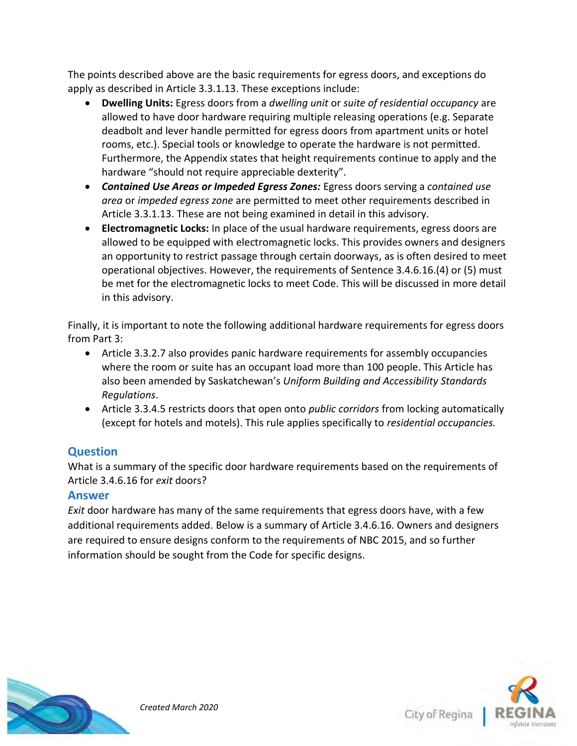The points described above are the basic requirements for egress doors, and exceptions do apply as described in Article 3.3.1.13. These exceptions include:

- **Dwelling Units:** Egress doors from a *dwelling unit* or *suite of residential occupancy* are allowed to have door hardware requiring multiple releasing operations (e.g. Separate deadbolt and lever handle permitted for egress doors from apartment units or hotel rooms, etc.). Special tools or knowledge to operate the hardware is not permitted. Furthermore, the Appendix states that height requirements continue to apply and the hardware "should not require appreciable dexterity".
- *Contained Use Areas or Impeded Egress Zones:* Egress doors serving a *contained use area* or *impeded egress zone* are permitted to meet other requirements described in Article 3.3.1.13. These are not being examined in detail in this advisory.
- **Electromagnetic Locks:** In place of the usual hardware requirements, egress doors are allowed to be equipped with electromagnetic locks. This provides owners and designers an opportunity to restrict passage through certain doorways, as is often desired to meet operational objectives. However, the requirements of Sentence 3.4.6.16.(4) or (5) must be met for the electromagnetic locks to meet Code. This will be discussed in more detail in this advisory.

Finally, it is important to note the following additional hardware requirements for egress doors from Part 3:

- Article 3.3.2.7 also provides panic hardware requirements for assembly occupancies where the room or suite has an occupant load more than 100 people. This Article has also been amended by Saskatchewan's *Uniform Building and Accessibility Standards Regulations*.
- Article 3.3.4.5 restricts doors that open onto *public corridors* from locking automatically (except for hotels and motels). This rule applies specifically to *residential occupancies.*

## **Question**

What is a summary of the specific door hardware requirements based on the requirements of Article 3.4.6.16 for *exit* doors?

## **Answer**

*Exit* door hardware has many of the same requirements that egress doors have, with a few additional requirements added. Below is a summary of Article 3.4.6.16. Owners and designers are required to ensure designs conform to the requirements of NBC 2015, and so further information should be sought from the Code for specific designs.



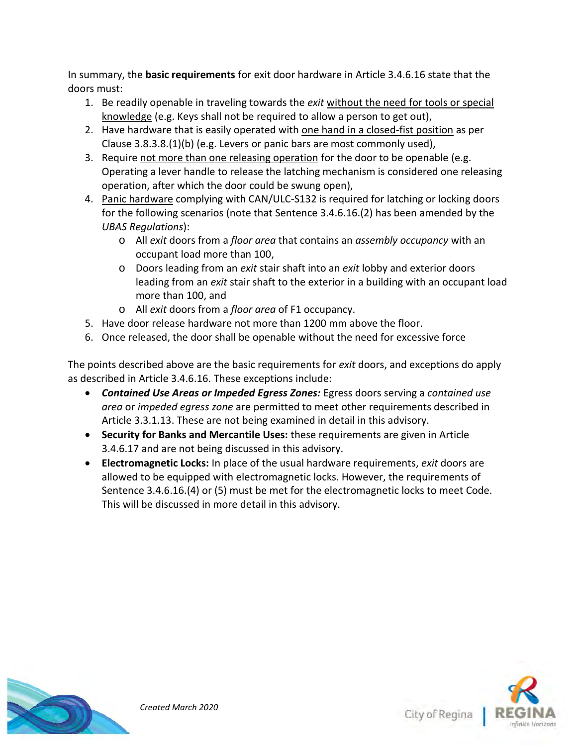In summary, the **basic requirements** for exit door hardware in Article 3.4.6.16 state that the doors must:

- 1. Be readily openable in traveling towards the *exit* without the need for tools or special knowledge (e.g. Keys shall not be required to allow a person to get out),
- 2. Have hardware that is easily operated with one hand in a closed-fist position as per Clause 3.8.3.8.(1)(b) (e.g. Levers or panic bars are most commonly used),
- 3. Require not more than one releasing operation for the door to be openable (e.g. Operating a lever handle to release the latching mechanism is considered one releasing operation, after which the door could be swung open),
- 4. Panic hardware complying with CAN/ULC-S132 is required for latching or locking doors for the following scenarios (note that Sentence 3.4.6.16.(2) has been amended by the *UBAS Regulations*):
	- o All *exit* doors from a *floor area* that contains an *assembly occupancy* with an occupant load more than 100,
	- o Doors leading from an *exit* stair shaft into an *exit* lobby and exterior doors leading from an *exit* stair shaft to the exterior in a building with an occupant load more than 100, and
	- o All *exit* doors from a *floor area* of F1 occupancy.
- 5. Have door release hardware not more than 1200 mm above the floor.
- 6. Once released, the door shall be openable without the need for excessive force

The points described above are the basic requirements for *exit* doors, and exceptions do apply as described in Article 3.4.6.16. These exceptions include:

- *Contained Use Areas or Impeded Egress Zones:* Egress doors serving a *contained use area* or *impeded egress zone* are permitted to meet other requirements described in Article 3.3.1.13. These are not being examined in detail in this advisory.
- **Security for Banks and Mercantile Uses:** these requirements are given in Article 3.4.6.17 and are not being discussed in this advisory.
- **Electromagnetic Locks:** In place of the usual hardware requirements, *exit* doors are allowed to be equipped with electromagnetic locks. However, the requirements of Sentence 3.4.6.16.(4) or (5) must be met for the electromagnetic locks to meet Code. This will be discussed in more detail in this advisory.



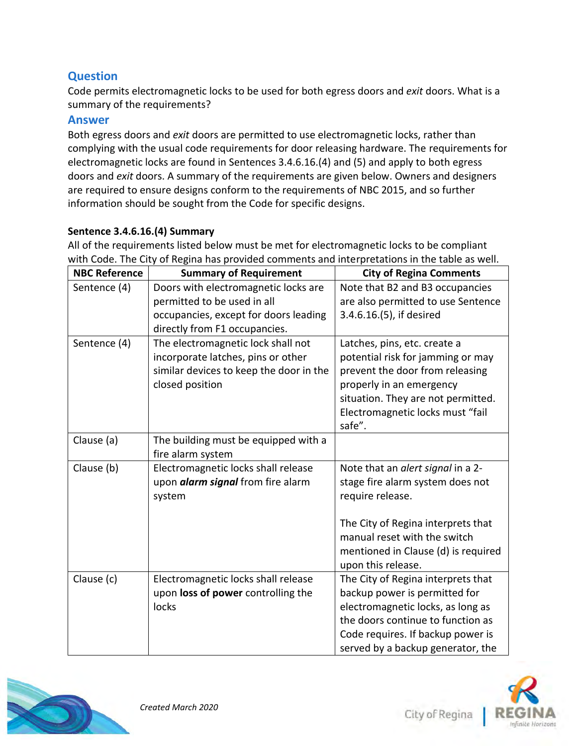Code permits electromagnetic locks to be used for both egress doors and *exit* doors. What is a summary of the requirements?

#### **Answer**

Both egress doors and *exit* doors are permitted to use electromagnetic locks, rather than complying with the usual code requirements for door releasing hardware. The requirements for electromagnetic locks are found in Sentences 3.4.6.16.(4) and (5) and apply to both egress doors and *exit* doors. A summary of the requirements are given below. Owners and designers are required to ensure designs conform to the requirements of NBC 2015, and so further information should be sought from the Code for specific designs.

#### **Sentence 3.4.6.16.(4) Summary**

All of the requirements listed below must be met for electromagnetic locks to be compliant with Code. The City of Regina has provided comments and interpretations in the table as well.

| <b>NBC Reference</b> | <b>Summary of Requirement</b>            | <b>City of Regina Comments</b>      |
|----------------------|------------------------------------------|-------------------------------------|
| Sentence (4)         | Doors with electromagnetic locks are     | Note that B2 and B3 occupancies     |
|                      | permitted to be used in all              | are also permitted to use Sentence  |
|                      | occupancies, except for doors leading    | 3.4.6.16.(5), if desired            |
|                      | directly from F1 occupancies.            |                                     |
| Sentence (4)         | The electromagnetic lock shall not       | Latches, pins, etc. create a        |
|                      | incorporate latches, pins or other       | potential risk for jamming or may   |
|                      | similar devices to keep the door in the  | prevent the door from releasing     |
|                      | closed position                          | properly in an emergency            |
|                      |                                          | situation. They are not permitted.  |
|                      |                                          | Electromagnetic locks must "fail    |
|                      |                                          | safe".                              |
| Clause (a)           | The building must be equipped with a     |                                     |
|                      | fire alarm system                        |                                     |
| Clause (b)           | Electromagnetic locks shall release      | Note that an alert signal in a 2-   |
|                      | upon <i>alarm signal</i> from fire alarm | stage fire alarm system does not    |
|                      | system                                   | require release.                    |
|                      |                                          |                                     |
|                      |                                          | The City of Regina interprets that  |
|                      |                                          | manual reset with the switch        |
|                      |                                          | mentioned in Clause (d) is required |
|                      |                                          | upon this release.                  |
| Clause (c)           | Electromagnetic locks shall release      | The City of Regina interprets that  |
|                      | upon loss of power controlling the       | backup power is permitted for       |
|                      | locks                                    | electromagnetic locks, as long as   |
|                      |                                          | the doors continue to function as   |
|                      |                                          | Code requires. If backup power is   |
|                      |                                          | served by a backup generator, the   |



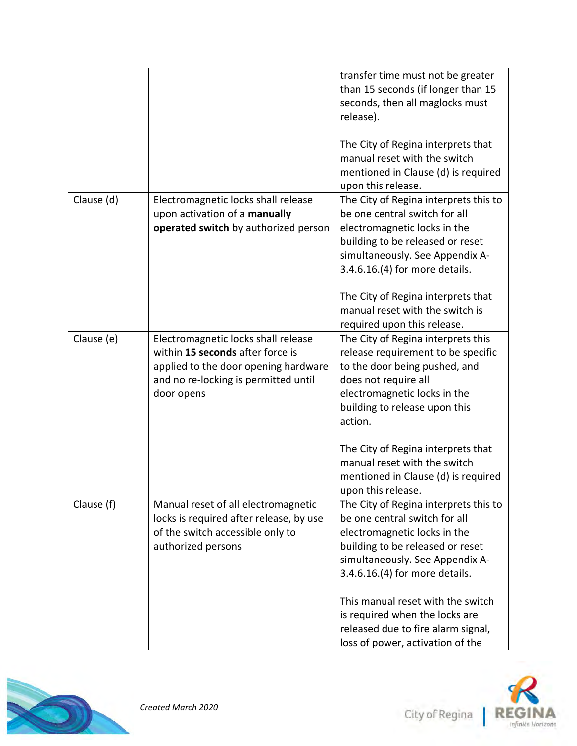|            |                                                                                                                                                                       | transfer time must not be greater<br>than 15 seconds (if longer than 15<br>seconds, then all maglocks must<br>release).                                                                                                                                                                                                                                          |
|------------|-----------------------------------------------------------------------------------------------------------------------------------------------------------------------|------------------------------------------------------------------------------------------------------------------------------------------------------------------------------------------------------------------------------------------------------------------------------------------------------------------------------------------------------------------|
|            |                                                                                                                                                                       | The City of Regina interprets that<br>manual reset with the switch<br>mentioned in Clause (d) is required<br>upon this release.                                                                                                                                                                                                                                  |
| Clause (d) | Electromagnetic locks shall release<br>upon activation of a manually<br>operated switch by authorized person                                                          | The City of Regina interprets this to<br>be one central switch for all<br>electromagnetic locks in the<br>building to be released or reset<br>simultaneously. See Appendix A-<br>3.4.6.16.(4) for more details.<br>The City of Regina interprets that<br>manual reset with the switch is<br>required upon this release.                                          |
| Clause (e) | Electromagnetic locks shall release<br>within 15 seconds after force is<br>applied to the door opening hardware<br>and no re-locking is permitted until<br>door opens | The City of Regina interprets this<br>release requirement to be specific<br>to the door being pushed, and<br>does not require all<br>electromagnetic locks in the<br>building to release upon this<br>action.<br>The City of Regina interprets that<br>manual reset with the switch<br>mentioned in Clause (d) is required<br>upon this release.                 |
| Clause (f) | Manual reset of all electromagnetic<br>locks is required after release, by use<br>of the switch accessible only to<br>authorized persons                              | The City of Regina interprets this to<br>be one central switch for all<br>electromagnetic locks in the<br>building to be released or reset<br>simultaneously. See Appendix A-<br>3.4.6.16.(4) for more details.<br>This manual reset with the switch<br>is required when the locks are<br>released due to fire alarm signal,<br>loss of power, activation of the |



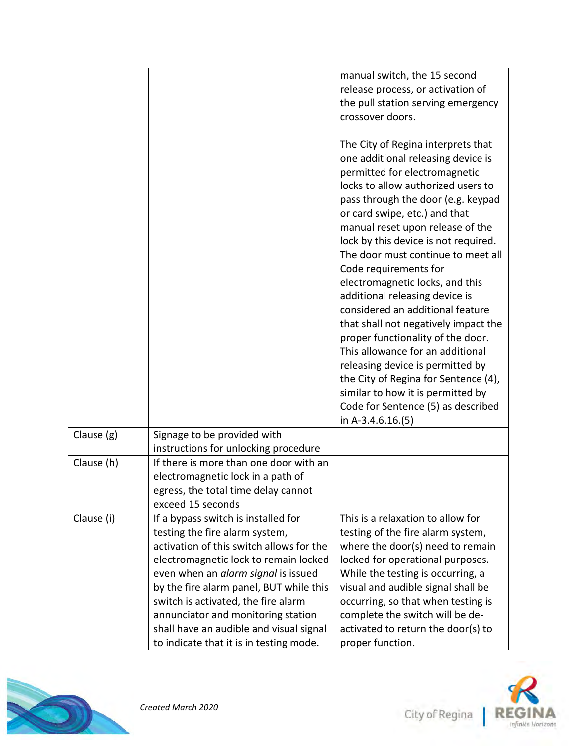|            |                                                                                | manual switch, the 15 second<br>release process, or activation of |
|------------|--------------------------------------------------------------------------------|-------------------------------------------------------------------|
|            |                                                                                | the pull station serving emergency                                |
|            |                                                                                | crossover doors.                                                  |
|            |                                                                                |                                                                   |
|            |                                                                                | The City of Regina interprets that                                |
|            |                                                                                | one additional releasing device is                                |
|            |                                                                                | permitted for electromagnetic                                     |
|            |                                                                                | locks to allow authorized users to                                |
|            |                                                                                | pass through the door (e.g. keypad                                |
|            |                                                                                | or card swipe, etc.) and that                                     |
|            |                                                                                | manual reset upon release of the                                  |
|            |                                                                                | lock by this device is not required.                              |
|            |                                                                                | The door must continue to meet all                                |
|            |                                                                                | Code requirements for                                             |
|            |                                                                                | electromagnetic locks, and this                                   |
|            |                                                                                | additional releasing device is                                    |
|            |                                                                                | considered an additional feature                                  |
|            |                                                                                | that shall not negatively impact the                              |
|            |                                                                                | proper functionality of the door.                                 |
|            |                                                                                | This allowance for an additional                                  |
|            |                                                                                | releasing device is permitted by                                  |
|            |                                                                                | the City of Regina for Sentence (4),                              |
|            |                                                                                | similar to how it is permitted by                                 |
|            |                                                                                | Code for Sentence (5) as described                                |
|            |                                                                                | in A-3.4.6.16. $(5)$                                              |
| Clause (g) | Signage to be provided with                                                    |                                                                   |
|            | instructions for unlocking procedure<br>If there is more than one door with an |                                                                   |
| Clause (h) |                                                                                |                                                                   |
|            | electromagnetic lock in a path of<br>egress, the total time delay cannot       |                                                                   |
|            | exceed 15 seconds                                                              |                                                                   |
| Clause (i) | If a bypass switch is installed for                                            | This is a relaxation to allow for                                 |
|            | testing the fire alarm system,                                                 | testing of the fire alarm system,                                 |
|            | activation of this switch allows for the                                       | where the door(s) need to remain                                  |
|            | electromagnetic lock to remain locked                                          | locked for operational purposes.                                  |
|            | even when an alarm signal is issued                                            | While the testing is occurring, a                                 |
|            | by the fire alarm panel, BUT while this                                        | visual and audible signal shall be                                |
|            | switch is activated, the fire alarm                                            | occurring, so that when testing is                                |
|            | annunciator and monitoring station                                             | complete the switch will be de-                                   |
|            | shall have an audible and visual signal                                        | activated to return the door(s) to                                |
|            | to indicate that it is in testing mode.                                        | proper function.                                                  |



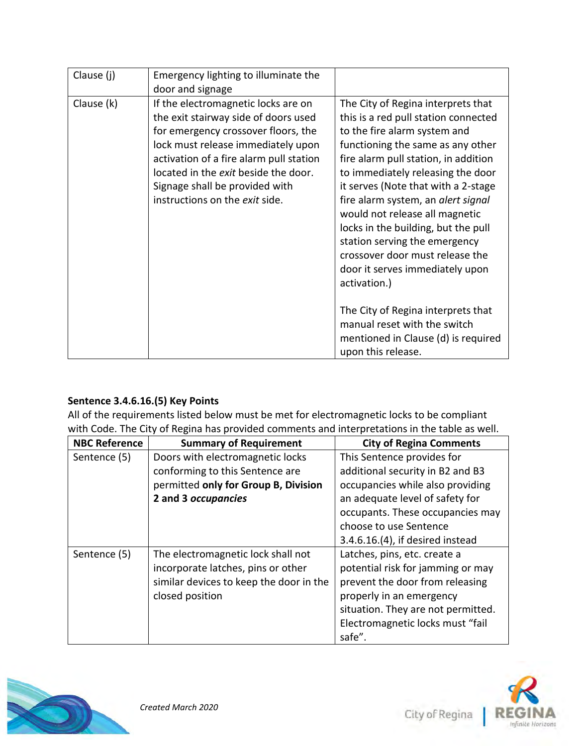| Clause (j) | Emergency lighting to illuminate the<br>door and signage                                                                                                                                                                                                                                                        |                                                                                                                                                                                                                                                                                                                                                                                                                                                                                                                                                 |
|------------|-----------------------------------------------------------------------------------------------------------------------------------------------------------------------------------------------------------------------------------------------------------------------------------------------------------------|-------------------------------------------------------------------------------------------------------------------------------------------------------------------------------------------------------------------------------------------------------------------------------------------------------------------------------------------------------------------------------------------------------------------------------------------------------------------------------------------------------------------------------------------------|
| Clause (k) | If the electromagnetic locks are on<br>the exit stairway side of doors used<br>for emergency crossover floors, the<br>lock must release immediately upon<br>activation of a fire alarm pull station<br>located in the exit beside the door.<br>Signage shall be provided with<br>instructions on the exit side. | The City of Regina interprets that<br>this is a red pull station connected<br>to the fire alarm system and<br>functioning the same as any other<br>fire alarm pull station, in addition<br>to immediately releasing the door<br>it serves (Note that with a 2-stage<br>fire alarm system, an alert signal<br>would not release all magnetic<br>locks in the building, but the pull<br>station serving the emergency<br>crossover door must release the<br>door it serves immediately upon<br>activation.)<br>The City of Regina interprets that |
|            |                                                                                                                                                                                                                                                                                                                 | manual reset with the switch<br>mentioned in Clause (d) is required<br>upon this release.                                                                                                                                                                                                                                                                                                                                                                                                                                                       |

### **Sentence 3.4.6.16.(5) Key Points**

All of the requirements listed below must be met for electromagnetic locks to be compliant with Code. The City of Regina has provided comments and interpretations in the table as well.

| <b>NBC Reference</b> | <b>Summary of Requirement</b>           | <b>City of Regina Comments</b>     |
|----------------------|-----------------------------------------|------------------------------------|
| Sentence (5)         | Doors with electromagnetic locks        | This Sentence provides for         |
|                      | conforming to this Sentence are         | additional security in B2 and B3   |
|                      | permitted only for Group B, Division    | occupancies while also providing   |
|                      | 2 and 3 occupancies                     | an adequate level of safety for    |
|                      |                                         | occupants. These occupancies may   |
|                      |                                         | choose to use Sentence             |
|                      |                                         | 3.4.6.16.(4), if desired instead   |
| Sentence (5)         | The electromagnetic lock shall not      | Latches, pins, etc. create a       |
|                      | incorporate latches, pins or other      | potential risk for jamming or may  |
|                      | similar devices to keep the door in the | prevent the door from releasing    |
|                      | closed position                         | properly in an emergency           |
|                      |                                         | situation. They are not permitted. |
|                      |                                         | Electromagnetic locks must "fail   |
|                      |                                         | safe".                             |



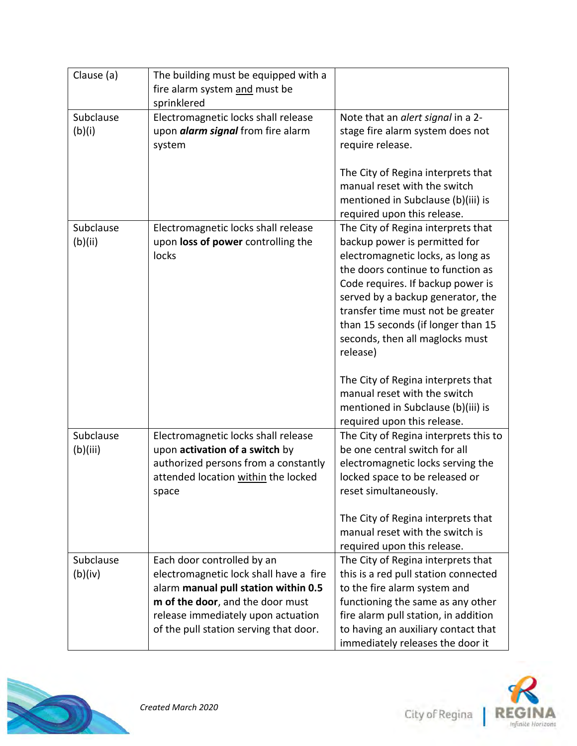| Clause (a)            | The building must be equipped with a<br>fire alarm system and must be                                                                                                                                                            |                                                                                                                                                                                                                                                                                                                                                   |
|-----------------------|----------------------------------------------------------------------------------------------------------------------------------------------------------------------------------------------------------------------------------|---------------------------------------------------------------------------------------------------------------------------------------------------------------------------------------------------------------------------------------------------------------------------------------------------------------------------------------------------|
|                       | sprinklered                                                                                                                                                                                                                      |                                                                                                                                                                                                                                                                                                                                                   |
| Subclause<br>(b)(i)   | Electromagnetic locks shall release<br>upon <i>alarm signal</i> from fire alarm<br>system                                                                                                                                        | Note that an alert signal in a 2-<br>stage fire alarm system does not<br>require release.                                                                                                                                                                                                                                                         |
|                       |                                                                                                                                                                                                                                  | The City of Regina interprets that<br>manual reset with the switch<br>mentioned in Subclause (b)(iii) is<br>required upon this release.                                                                                                                                                                                                           |
| Subclause<br>(b)(ii)  | Electromagnetic locks shall release<br>upon loss of power controlling the<br>locks                                                                                                                                               | The City of Regina interprets that<br>backup power is permitted for<br>electromagnetic locks, as long as<br>the doors continue to function as<br>Code requires. If backup power is<br>served by a backup generator, the<br>transfer time must not be greater<br>than 15 seconds (if longer than 15<br>seconds, then all maglocks must<br>release) |
|                       |                                                                                                                                                                                                                                  | The City of Regina interprets that<br>manual reset with the switch<br>mentioned in Subclause (b)(iii) is<br>required upon this release.                                                                                                                                                                                                           |
| Subclause<br>(b)(iii) | Electromagnetic locks shall release<br>upon activation of a switch by<br>authorized persons from a constantly<br>attended location within the locked<br>space                                                                    | The City of Regina interprets this to<br>be one central switch for all<br>electromagnetic locks serving the<br>locked space to be released or<br>reset simultaneously.                                                                                                                                                                            |
|                       |                                                                                                                                                                                                                                  | The City of Regina interprets that<br>manual reset with the switch is<br>required upon this release.                                                                                                                                                                                                                                              |
| Subclause<br>(b)(iv)  | Each door controlled by an<br>electromagnetic lock shall have a fire<br>alarm manual pull station within 0.5<br>m of the door, and the door must<br>release immediately upon actuation<br>of the pull station serving that door. | The City of Regina interprets that<br>this is a red pull station connected<br>to the fire alarm system and<br>functioning the same as any other<br>fire alarm pull station, in addition<br>to having an auxiliary contact that                                                                                                                    |
|                       |                                                                                                                                                                                                                                  | immediately releases the door it                                                                                                                                                                                                                                                                                                                  |



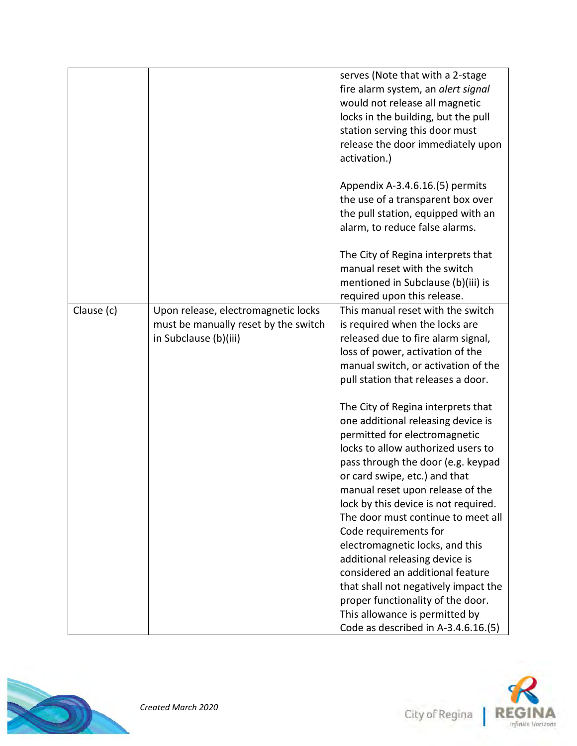|            |                                      | serves (Note that with a 2-stage     |
|------------|--------------------------------------|--------------------------------------|
|            |                                      | fire alarm system, an alert signal   |
|            |                                      | would not release all magnetic       |
|            |                                      |                                      |
|            |                                      | locks in the building, but the pull  |
|            |                                      | station serving this door must       |
|            |                                      | release the door immediately upon    |
|            |                                      | activation.)                         |
|            |                                      |                                      |
|            |                                      |                                      |
|            |                                      | Appendix A-3.4.6.16.(5) permits      |
|            |                                      | the use of a transparent box over    |
|            |                                      | the pull station, equipped with an   |
|            |                                      | alarm, to reduce false alarms.       |
|            |                                      |                                      |
|            |                                      | The City of Regina interprets that   |
|            |                                      | manual reset with the switch         |
|            |                                      |                                      |
|            |                                      | mentioned in Subclause (b)(iii) is   |
|            |                                      | required upon this release.          |
| Clause (c) | Upon release, electromagnetic locks  | This manual reset with the switch    |
|            | must be manually reset by the switch | is required when the locks are       |
|            | in Subclause (b)(iii)                | released due to fire alarm signal,   |
|            |                                      | loss of power, activation of the     |
|            |                                      | manual switch, or activation of the  |
|            |                                      |                                      |
|            |                                      | pull station that releases a door.   |
|            |                                      | The City of Regina interprets that   |
|            |                                      |                                      |
|            |                                      | one additional releasing device is   |
|            |                                      | permitted for electromagnetic        |
|            |                                      | locks to allow authorized users to   |
|            |                                      | pass through the door (e.g. keypad   |
|            |                                      | or card swipe, etc.) and that        |
|            |                                      | manual reset upon release of the     |
|            |                                      | lock by this device is not required. |
|            |                                      |                                      |
|            |                                      | The door must continue to meet all   |
|            |                                      | Code requirements for                |
|            |                                      | electromagnetic locks, and this      |
|            |                                      | additional releasing device is       |
|            |                                      | considered an additional feature     |
|            |                                      | that shall not negatively impact the |
|            |                                      | proper functionality of the door.    |
|            |                                      | This allowance is permitted by       |
|            |                                      |                                      |
|            |                                      | Code as described in A-3.4.6.16.(5)  |



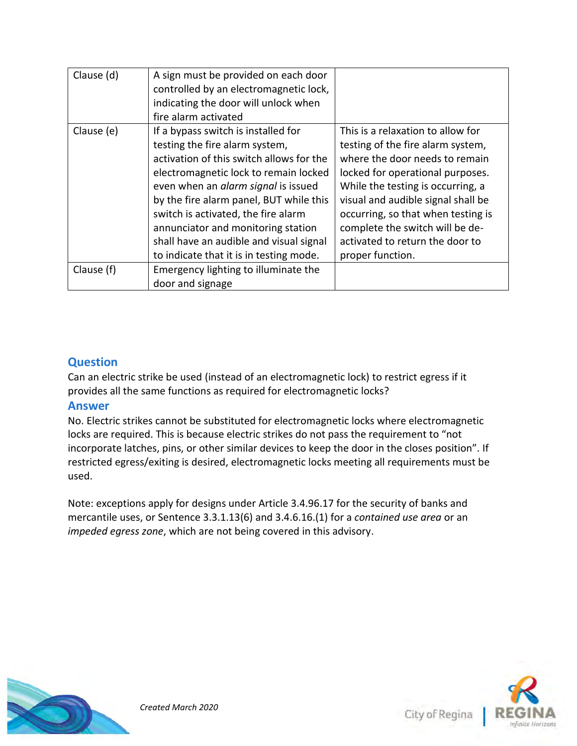| Clause (d) | A sign must be provided on each door<br>controlled by an electromagnetic lock,<br>indicating the door will unlock when<br>fire alarm activated                                                                                                                                                                                                                                                                  |                                                                                                                                                                                                                                                                                                                                                         |
|------------|-----------------------------------------------------------------------------------------------------------------------------------------------------------------------------------------------------------------------------------------------------------------------------------------------------------------------------------------------------------------------------------------------------------------|---------------------------------------------------------------------------------------------------------------------------------------------------------------------------------------------------------------------------------------------------------------------------------------------------------------------------------------------------------|
| Clause (e) | If a bypass switch is installed for<br>testing the fire alarm system,<br>activation of this switch allows for the<br>electromagnetic lock to remain locked<br>even when an alarm signal is issued<br>by the fire alarm panel, BUT while this<br>switch is activated, the fire alarm<br>annunciator and monitoring station<br>shall have an audible and visual signal<br>to indicate that it is in testing mode. | This is a relaxation to allow for<br>testing of the fire alarm system,<br>where the door needs to remain<br>locked for operational purposes.<br>While the testing is occurring, a<br>visual and audible signal shall be<br>occurring, so that when testing is<br>complete the switch will be de-<br>activated to return the door to<br>proper function. |
| Clause (f) | Emergency lighting to illuminate the<br>door and signage                                                                                                                                                                                                                                                                                                                                                        |                                                                                                                                                                                                                                                                                                                                                         |

Can an electric strike be used (instead of an electromagnetic lock) to restrict egress if it provides all the same functions as required for electromagnetic locks?

#### **Answer**

No. Electric strikes cannot be substituted for electromagnetic locks where electromagnetic locks are required. This is because electric strikes do not pass the requirement to "not incorporate latches, pins, or other similar devices to keep the door in the closes position". If restricted egress/exiting is desired, electromagnetic locks meeting all requirements must be used.

Note: exceptions apply for designs under Article 3.4.96.17 for the security of banks and mercantile uses, or Sentence 3.3.1.13(6) and 3.4.6.16.(1) for a *contained use area* or an *impeded egress zone*, which are not being covered in this advisory.



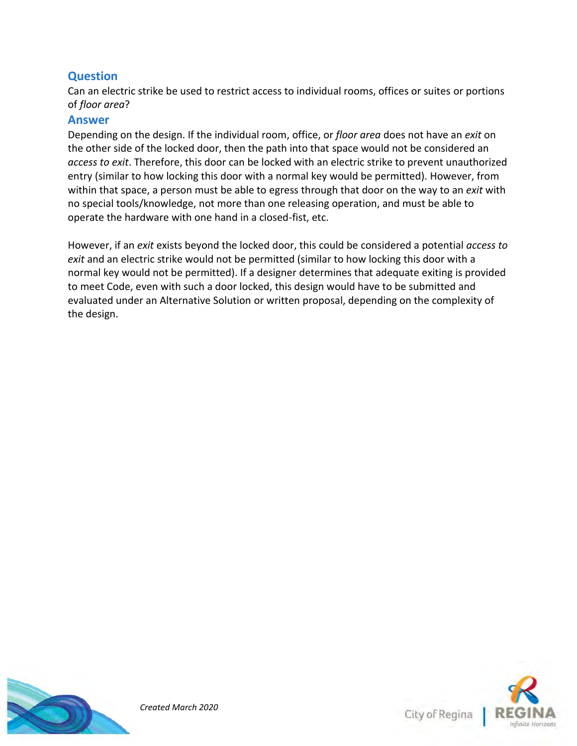Can an electric strike be used to restrict access to individual rooms, offices or suites or portions of *floor area*?

#### **Answer**

Depending on the design. If the individual room, office, or *floor area* does not have an *exit* on the other side of the locked door, then the path into that space would not be considered an *access to exit*. Therefore, this door can be locked with an electric strike to prevent unauthorized entry (similar to how locking this door with a normal key would be permitted). However, from within that space, a person must be able to egress through that door on the way to an *exit* with no special tools/knowledge, not more than one releasing operation, and must be able to operate the hardware with one hand in a closed-fist, etc.

However, if an *exit* exists beyond the locked door, this could be considered a potential *access to exit* and an electric strike would not be permitted (similar to how locking this door with a normal key would not be permitted). If a designer determines that adequate exiting is provided to meet Code, even with such a door locked, this design would have to be submitted and evaluated under an Alternative Solution or written proposal, depending on the complexity of the design.